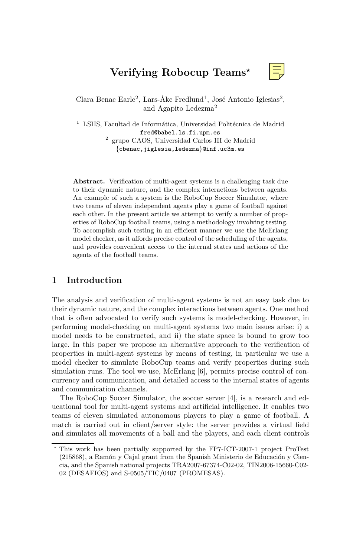# **Verifying Robocup Teams***-*



Clara Benac Earle<sup>2</sup>, Lars-Åke Fredlund<sup>1</sup>, José Antonio Iglesias<sup>2</sup>, and Agapito Ledezma<sup>2</sup>

 $^{\rm 1}$  LSIIS, Facultad de Informática, Universidad Politécnica de Madrid fred@babel.ls.fi.upm.es <sup>2</sup> grupo CAOS, Universidad Carlos III de Madrid {cbenac,jiglesia,ledezma}@inf.uc3m.es

**Abstract.** Verification of multi-agent systems is a challenging task due to their dynamic nature, and the complex interactions between agents. An example of such a system is the RoboCup Soccer Simulator, where two teams of eleven independent agents play a game of football against each other. In the present article we attempt to verify a number of properties of RoboCup football teams, using a methodology involving testing. To accomplish such testing in an efficient manner we use the McErlang model checker, as it affords precise control of the scheduling of the agents, and provides convenient access to the internal states and actions of the agents of the football teams.

### **1 Introduction**

The analysis and verification of multi-agent systems is not an easy task due to their dynamic nature, and the complex interactions between agents. One method that is often advocated to verify such systems is model-checking. However, in performing model-checking on multi-agent systems two main issues arise: i) a model needs to be constructed, and ii) the state space is bound to grow too large. In this paper we propose an alternative approach to the verification of properties in multi-agent systems by means of testing, in particular we use a model checker to simulate RoboCup teams and verify properties during such simulation runs. The tool we use, McErlang [6], permits precise control of concurrency and communication, and detailed access to the internal states of agents and communication channels.

The RoboCup Soccer Simulator, the soccer server [4], is a research and educational tool for multi-agent systems and artificial intelligence. It enables two teams of eleven simulated autonomous players to play a game of football. A match is carried out in client/server style: the server provides a virtual field and simulates all movements of a ball and the players, and each client controls

<sup>-</sup> This work has been partially supported by the FP7-ICT-2007-1 project ProTest  $(215868)$ , a Ramón y Cajal grant from the Spanish Ministerio de Educación y Ciencia, and the Spanish national projects TRA2007-67374-C02-02, TIN2006-15660-C02- 02 (DESAFIOS) and S-0505/TIC/0407 (PROMESAS).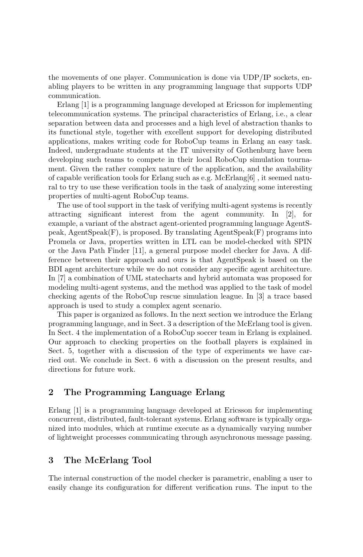the movements of one player. Communication is done via UDP/IP sockets, enabling players to be written in any programming language that supports UDP communication.

Erlang [1] is a programming language developed at Ericsson for implementing telecommunication systems. The principal characteristics of Erlang, i.e., a clear separation between data and processes and a high level of abstraction thanks to its functional style, together with excellent support for developing distributed applications, makes writing code for RoboCup teams in Erlang an easy task. Indeed, undergraduate students at the IT university of Gothenburg have been developing such teams to compete in their local RoboCup simulation tournament. Given the rather complex nature of the application, and the availability of capable verification tools for Erlang such as e.g. McErlang[6] , it seemed natural to try to use these verification tools in the task of analyzing some interesting properties of multi-agent RoboCup teams.

The use of tool support in the task of verifying multi-agent systems is recently attracting significant interest from the agent community. In [2], for example, a variant of the abstract agent-oriented programming language AgentSpeak, AgentSpeak(F), is proposed. By translating AgentSpeak(F) programs into Promela or Java, properties written in LTL can be model-checked with SPIN or the Java Path Finder [11], a general purpose model checker for Java. A difference between their approach and ours is that AgentSpeak is based on the BDI agent architecture while we do not consider any specific agent architecture. In [7] a combination of UML statecharts and hybrid automata was proposed for modeling multi-agent systems, and the method was applied to the task of model checking agents of the RoboCup rescue simulation league. In [3] a trace based approach is used to study a complex agent scenario.

This paper is organized as follows. In the next section we introduce the Erlang programming language, and in Sect. 3 a description of the McErlang tool is given. In Sect. 4 the implementation of a RoboCup soccer team in Erlang is explained. Our approach to checking properties on the football players is explained in Sect. 5, together with a discussion of the type of experiments we have carried out. We conclude in Sect. 6 with a discussion on the present results, and directions for future work.

### **2 The Programming Language Erlang**

Erlang [1] is a programming language developed at Ericsson for implementing concurrent, distributed, fault-tolerant systems. Erlang software is typically organized into modules, which at runtime execute as a dynamically varying number of lightweight processes communicating through asynchronous message passing.

### **3 The McErlang Tool**

The internal construction of the model checker is parametric, enabling a user to easily change its configuration for different verification runs. The input to the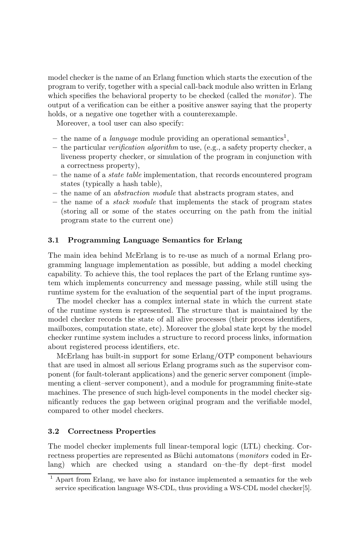model checker is the name of an Erlang function which starts the execution of the program to verify, together with a special call-back module also written in Erlang which specifies the behavioral property to be checked (called the *monitor*). The output of a verification can be either a positive answer saying that the property holds, or a negative one together with a counterexample.

Moreover, a tool user can also specify:

- the name of a *language* module providing an operational semantics<sup>1</sup>,
- **–** the particular verification algorithm to use, (e.g., a safety property checker, a liveness property checker, or simulation of the program in conjunction with a correctness property),
- **–** the name of a state table implementation, that records encountered program states (typically a hash table),
- **–** the name of an abstraction module that abstracts program states, and
- **–** the name of a stack module that implements the stack of program states (storing all or some of the states occurring on the path from the initial program state to the current one)

#### **3.1 Programming Language Semantics for Erlang**

The main idea behind McErlang is to re-use as much of a normal Erlang programming language implementation as possible, but adding a model checking capability. To achieve this, the tool replaces the part of the Erlang runtime system which implements concurrency and message passing, while still using the runtime system for the evaluation of the sequential part of the input programs.

The model checker has a complex internal state in which the current state of the runtime system is represented. The structure that is maintained by the model checker records the state of all alive processes (their process identifiers, mailboxes, computation state, etc). Moreover the global state kept by the model checker runtime system includes a structure to record process links, information about registered process identifiers, etc.

McErlang has built-in support for some Erlang/OTP component behaviours that are used in almost all serious Erlang programs such as the supervisor component (for fault-tolerant applications) and the generic server component (implementing a client–server component), and a module for programming finite-state machines. The presence of such high-level components in the model checker significantly reduces the gap between original program and the verifiable model, compared to other model checkers.

#### **3.2 Correctness Properties**

The model checker implements full linear-temporal logic (LTL) checking. Correctness properties are represented as Büchi automatons (*monitors* coded in Erlang) which are checked using a standard on–the–fly dept–first model

 $1$  Apart from Erlang, we have also for instance implemented a semantics for the web service specification language WS-CDL, thus providing a WS-CDL model checker[5].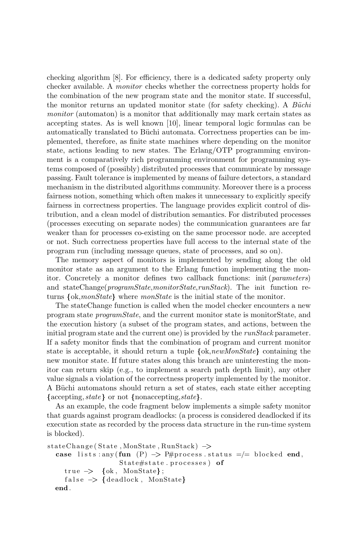checking algorithm [8]. For efficiency, there is a dedicated safety property only checker available. A monitor checks whether the correctness property holds for the combination of the new program state and the monitor state. If successful, the monitor returns an updated monitor state (for safety checking). A  $B\ddot{u}chi$ monitor (automaton) is a monitor that additionally may mark certain states as accepting states. As is well known [10], linear temporal logic formulas can be automatically translated to Büchi automata. Correctness properties can be implemented, therefore, as finite state machines where depending on the monitor state, actions leading to new states. The Erlang/OTP programming environment is a comparatively rich programming environment for programming systems composed of (possibly) distributed processes that communicate by message passing. Fault tolerance is implemented by means of failure detectors, a standard mechanism in the distributed algorithms community. Moreover there is a process fairness notion, something which often makes it unnecessary to explicitly specify fairness in correctness properties. The language provides explicit control of distribution, and a clean model of distribution semantics. For distributed processes (processes executing on separate nodes) the communication guarantees are far weaker than for processes co-existing on the same processor node. are accepted or not. Such correctness properties have full access to the internal state of the program run (including message queues, state of processes, and so on).

The memory aspect of monitors is implemented by sending along the old monitor state as an argument to the Erlang function implementing the monitor. Concretely a monitor defines two callback functions: init (parameters) and stateChange(programState,monitorState,runStack). The init function returns *{*ok,monState*}* where monState is the initial state of the monitor.

The stateChange function is called when the model checker encounters a new program state programState, and the current monitor state is monitorState, and the execution history (a subset of the program states, and actions, between the initial program state and the current one) is provided by the *runStack* parameter. If a safety monitor finds that the combination of program and current monitor state is acceptable, it should return a tuple *{*ok,newMonState*}* containing the new monitor state. If future states along this branch are uninteresting the monitor can return skip (e.g., to implement a search path depth limit), any other value signals a violation of the correctness property implemented by the monitor. A Büchi automatons should return a set of states, each state either accepting *{*accepting, state*}* or not *{*nonaccepting,state*}*.

As an example, the code fragment below implements a simple safety monitor that guards against program deadlocks: (a process is considered deadlocked if its execution state as recorded by the process data structure in the run-time system is blocked).

```
stateChange ( State , MonState , RunStack) −>
  case lists: any (\text{fun} (P) \rightarrow P#process. status =/= blocked end,
                   State#state.processes) of
    true −> {ok , MonState} ;
    false −> {deadlock , MonState}
 end.
```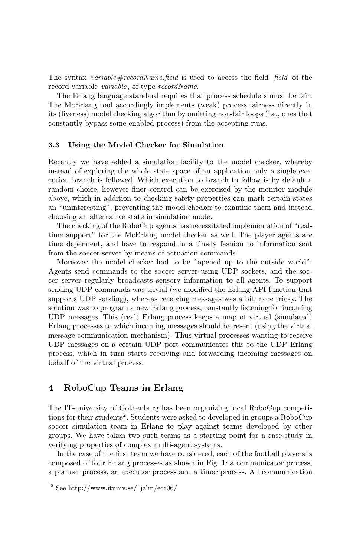The syntax variable  $\# recordName$ . field is used to access the field field of the record variable *variable*, of type *recordName*.

The Erlang language standard requires that process schedulers must be fair. The McErlang tool accordingly implements (weak) process fairness directly in its (liveness) model checking algorithm by omitting non-fair loops (i.e., ones that constantly bypass some enabled process) from the accepting runs.

#### **3.3 Using the Model Checker for Simulation**

Recently we have added a simulation facility to the model checker, whereby instead of exploring the whole state space of an application only a single execution branch is followed. Which execution to branch to follow is by default a random choice, however finer control can be exercised by the monitor module above, which in addition to checking safety properties can mark certain states an "uninteresting", preventing the model checker to examine them and instead choosing an alternative state in simulation mode.

The checking of the RoboCup agents has necessitated implementation of "realtime support" for the McErlang model checker as well. The player agents are time dependent, and have to respond in a timely fashion to information sent from the soccer server by means of actuation commands.

Moreover the model checker had to be "opened up to the outside world". Agents send commands to the soccer server using UDP sockets, and the soccer server regularly broadcasts sensory information to all agents. To support sending UDP commands was trivial (we modified the Erlang API function that supports UDP sending), whereas receiving messages was a bit more tricky. The solution was to program a new Erlang process, constantly listening for incoming UDP messages. This (real) Erlang process keeps a map of virtual (simulated) Erlang processes to which incoming messages should be resent (using the virtual message communication mechanism). Thus virtual processes wanting to receive UDP messages on a certain UDP port communicates this to the UDP Erlang process, which in turn starts receiving and forwarding incoming messages on behalf of the virtual process.

### **4 RoboCup Teams in Erlang**

The IT-university of Gothenburg has been organizing local RoboCup competitions for their students<sup>2</sup>. Students were asked to developed in groups a RoboCup soccer simulation team in Erlang to play against teams developed by other groups. We have taken two such teams as a starting point for a case-study in verifying properties of complex multi-agent systems.

In the case of the first team we have considered, each of the football players is composed of four Erlang processes as shown in Fig. 1: a communicator process, a planner process, an executor process and a timer process. All communication

<sup>2</sup> See http://www.ituniv.se/˜jalm/ecc06/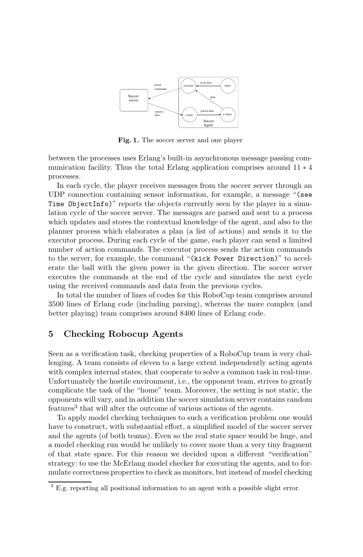

**Fig. 1.** The soccer server and one player

between the processes uses Erlang's built-in asynchronous message passing communication facility. Thus the total Erlang application comprises around  $11 * 4$ processes.

In each cycle, the player receives messages from the soccer server through an UDP connection containing sensor information, for example, a message "(see Time ObjectInfo)" reports the objects currently seen by the player in a simulation cycle of the soccer server. The messages are parsed and sent to a process which updates and stores the contextual knowledge of the agent, and also to the planner process which elaborates a plan (a list of actions) and sends it to the executor process. During each cycle of the game, each player can send a limited number of action commands. The executor process sends the action commands to the server, for example, the command "(kick Power Direction)" to accelerate the ball with the given power in the given direction. The soccer server executes the commands at the end of the cycle and simulates the next cycle using the received commands and data from the previous cycles.

In total the number of lines of codes for this RoboCup team comprises around 3500 lines of Erlang code (including parsing), whereas the more complex (and better playing) team comprises around 8400 lines of Erlang code.

### **5 Checking Robocup Agents**

Seen as a verification task, checking properties of a RoboCup team is very challenging. A team consists of eleven to a large extent independently acting agents with complex internal states, that cooperate to solve a common task in real-time. Unfortunately the hostile environment, i.e., the opponent team, strives to greatly complicate the task of the "home" team. Moreover, the setting is not static, the opponents will vary, and in addition the soccer simulation server contains random features<sup>3</sup> that will alter the outcome of various actions of the agents.

To apply model checking techniques to such a verification problem one would have to construct, with substantial effort, a simplified model of the soccer server and the agents (of both teams). Even so the real state space would be huge, and a model checking run would be unlikely to cover more than a very tiny fragment of that state space. For this reason we decided upon a different "verification" strategy: to use the McErlang model checker for executing the agents, and to formulate correctness properties to check as monitors, but instead of model checking

<sup>&</sup>lt;sup>3</sup> E.g. reporting all positional information to an agent with a possible slight error.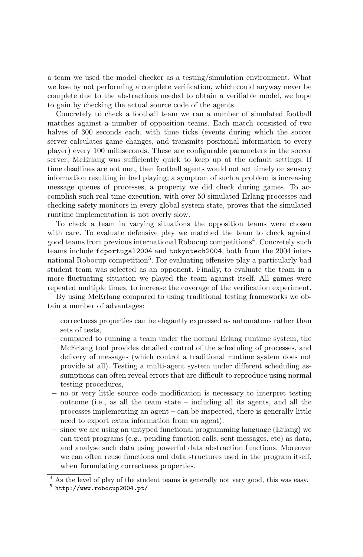a team we used the model checker as a testing/simulation environment. What we lose by not performing a complete verification, which could anyway never be complete due to the abstractions needed to obtain a verifiable model, we hope to gain by checking the actual source code of the agents.

Concretely to check a football team we ran a number of simulated football matches against a number of opposition teams. Each match consisted of two halves of 300 seconds each, with time ticks (events during which the soccer server calculates game changes, and transmits positional information to every player) every 100 milliseconds. These are configurable parameters in the soccer server; McErlang was sufficiently quick to keep up at the default settings. If time deadlines are not met, then football agents would not act timely on sensory information resulting in bad playing; a symptom of such a problem is increasing message queues of processes, a property we did check during games. To accomplish such real-time execution, with over 50 simulated Erlang processes and checking safety monitors in every global system state, proves that the simulated runtime implementation is not overly slow.

To check a team in varying situations the opposition teams were chosen with care. To evaluate defensive play we matched the team to check against good teams from previous international Robocup competitions4. Concretely such teams include fcportugal2004 and tokyotech2004, both from the 2004 international Robocup competition<sup>5</sup>. For evaluating offensive play a particularly bad student team was selected as an opponent. Finally, to evaluate the team in a more fluctuating situation we played the team against itself. All games were repeated multiple times, to increase the coverage of the verification experiment.

By using McErlang compared to using traditional testing frameworks we obtain a number of advantages:

- **–** correctness properties can be elegantly expressed as automatons rather than sets of tests,
- **–** compared to running a team under the normal Erlang runtime system, the McErlang tool provides detailed control of the scheduling of processes, and delivery of messages (which control a traditional runtime system does not provide at all). Testing a multi-agent system under different scheduling assumptions can often reveal errors that are difficult to reproduce using normal testing procedures,
- **–** no or very little source code modification is necessary to interpret testing outcome (i.e., as all the team state – including all its agents, and all the processes implementing an agent – can be inspected, there is generally little need to export extra information from an agent).
- **–** since we are using an untyped functional programming language (Erlang) we can treat programs (e.g., pending function calls, sent messages, etc) as data, and analyse such data using powerful data abstraction functions. Moreover we can often reuse functions and data structures used in the program itself, when formulating correctness properties.

 $4$  As the level of play of the student teams is generally not very good, this was easy.

<sup>5</sup> http://www.robocup2004.pt/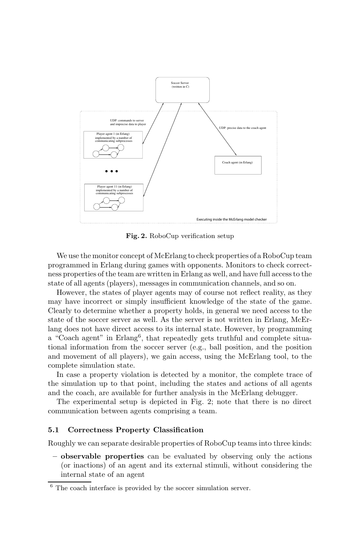

**Fig. 2.** RoboCup verification setup

We use the monitor concept of McErlang to check properties of a RoboCup team programmed in Erlang during games with opponents. Monitors to check correctness properties of the team are written in Erlang as well, and have full access to the state of all agents (players), messages in communication channels, and so on.

However, the states of player agents may of course not reflect reality, as they may have incorrect or simply insufficient knowledge of the state of the game. Clearly to determine whether a property holds, in general we need access to the state of the soccer server as well. As the server is not written in Erlang, McErlang does not have direct access to its internal state. However, by programming a "Coach agent" in Erlang<sup>6</sup>, that repeatedly gets truthful and complete situational information from the soccer server (e.g., ball position, and the position and movement of all players), we gain access, using the McErlang tool, to the complete simulation state.

In case a property violation is detected by a monitor, the complete trace of the simulation up to that point, including the states and actions of all agents and the coach, are available for further analysis in the McErlang debugger.

The experimental setup is depicted in Fig. 2; note that there is no direct communication between agents comprising a team.

#### **5.1 Correctness Property Classification**

Roughly we can separate desirable properties of RoboCup teams into three kinds:

**– observable properties** can be evaluated by observing only the actions (or inactions) of an agent and its external stimuli, without considering the internal state of an agent

 $6$  The coach interface is provided by the soccer simulation server.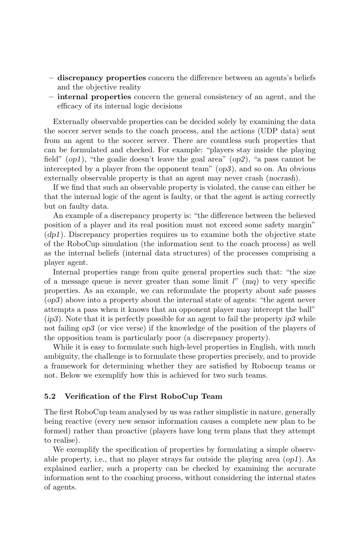- **discrepancy properties** concern the difference between an agents's beliefs and the objective reality
- **internal properties** concern the general consistency of an agent, and the efficacy of its internal logic decisions

Externally observable properties can be decided solely by examining the data the soccer server sends to the coach process, and the actions (UDP data) sent from an agent to the soccer server. There are countless such properties that can be formulated and checked. For example: "players stay inside the playing field" (*op1*), "the goalie doesn't leave the goal area" (*op2*), "a pass cannot be intercepted by a player from the opponent team" (*op3*), and so on. An obvious externally observable property is that an agent may never crash (*nocrash*).

If we find that such an observable property is violated, the cause can either be that the internal logic of the agent is faulty, or that the agent is acting correctly but on faulty data.

An example of a discrepancy property is: "the difference between the believed position of a player and its real position must not exceed some safety margin" (*dp1*). Discrepancy properties requires us to examine both the objective state of the RoboCup simulation (the information sent to the coach process) as well as the internal beliefs (internal data structures) of the processes comprising a player agent.

Internal properties range from quite general properties such that: "the size of a message queue is never greater than some limit  $l''(mq)$  to very specific properties. As an example, we can reformulate the property about safe passes (*op3*) above into a property about the internal state of agents: "the agent never attempts a pass when it knows that an opponent player may intercept the ball"  $(ip3)$ . Note that it is perfectly possible for an agent to fail the property  $ip3$  while not failing *op3* (or vice verse) if the knowledge of the position of the players of the opposition team is particularly poor (a discrepancy property).

While it is easy to formulate such high-level properties in English, with much ambiguity, the challenge is to formulate these properties precisely, and to provide a framework for determining whether they are satisfied by Robocup teams or not. Below we exemplify how this is achieved for two such teams.

### **5.2 Verification of the First RoboCup Team**

The first RoboCup team analysed by us was rather simplistic in nature, generally being reactive (every new sensor information causes a complete new plan to be formed) rather than proactive (players have long term plans that they attempt to realise).

We exemplify the specification of properties by formulating a simple observable property, i.e., that no player strays far outside the playing area (*op1*). As explained earlier, such a property can be checked by examining the accurate information sent to the coaching process, without considering the internal states of agents.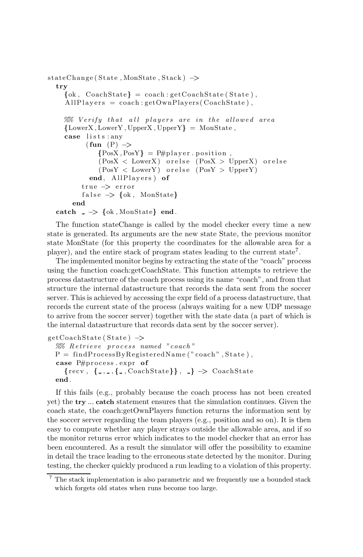```
s tateChange ( State , MonState , Stack ) −>
  try
    \{\nabla k, \quad \text{CoachState}\} = \text{coach: getCoachState}(\text{State}),
    AllPlavers = coach: getOwnPlayers(CoachState),
    %% Verify that all players are in the allowed area
    {LowerX , LowerY , UpperX , UpperY} = MonState ,
    case lists: any
          ( fun (P) −>
             {PosX, PosY} = P#player . position,
             (PosX < LowerX) orelse (PosX > UpperX) orelse
             (PosY < LowerY) or else (PosY > UpperY)end, AllPlayers) of
         true −> error
         false −> {ok , MonState}
      end
  catch −> {ok , MonState} end.
```
The function stateChange is called by the model checker every time a new state is generated. Its arguments are the new state State, the previous monitor state MonState (for this property the coordinates for the allowable area for a player), and the entire stack of program states leading to the current state<sup>7</sup>.

The implemented monitor begins by extracting the state of the "coach" process using the function coach:getCoachState. This function attempts to retrieve the process datastructure of the coach process using its name "coach", and from that structure the internal datastructure that records the data sent from the soccer server. This is achieved by accessing the expr field of a process datastructure, that records the current state of the process (always waiting for a new UDP message to arrive from the soccer server) together with the state data (a part of which is the internal datastructure that records data sent by the soccer server).

```
getCoachState ( State ) −>
 %% Retrieve process named "coach"
 P = find ProcessByRegisteredName("coach", State),case P#process.expr of
    {recv , { , , { , CoachState}} , } −> CoachState
 end.
```
If this fails (e.g., probably because the coach process has not been created yet) the **try** ... **catch** statement ensures that the simulation continues. Given the coach state, the coach:getOwnPlayers function returns the information sent by the soccer server regarding the team players (e.g., position and so on). It is then easy to compute whether any player strays outside the allowable area, and if so the monitor returns error which indicates to the model checker that an error has been encountered. As a result the simulator will offer the possibility to examine in detail the trace leading to the erroneous state detected by the monitor. During testing, the checker quickly produced a run leading to a violation of this property.

<sup>7</sup> The stack implementation is also parametric and we frequently use a bounded stack which forgets old states when runs become too large.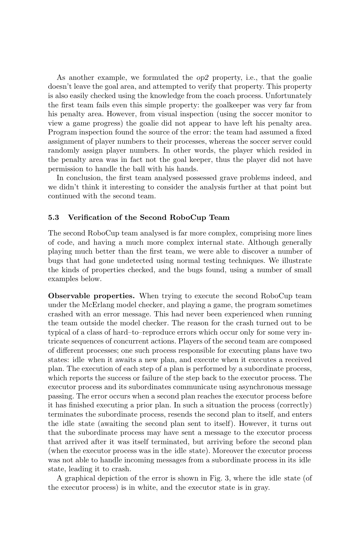As another example, we formulated the *op2* property, i.e., that the goalie doesn't leave the goal area, and attempted to verify that property. This property is also easily checked using the knowledge from the coach process. Unfortunately the first team fails even this simple property: the goalkeeper was very far from his penalty area. However, from visual inspection (using the soccer monitor to view a game progress) the goalie did not appear to have left his penalty area. Program inspection found the source of the error: the team had assumed a fixed assignment of player numbers to their processes, whereas the soccer server could randomly assign player numbers. In other words, the player which resided in the penalty area was in fact not the goal keeper, thus the player did not have permission to handle the ball with his hands.

In conclusion, the first team analysed possessed grave problems indeed, and we didn't think it interesting to consider the analysis further at that point but continued with the second team.

#### **5.3 Verification of the Second RoboCup Team**

The second RoboCup team analysed is far more complex, comprising more lines of code, and having a much more complex internal state. Although generally playing much better than the first team, we were able to discover a number of bugs that had gone undetected using normal testing techniques. We illustrate the kinds of properties checked, and the bugs found, using a number of small examples below.

**Observable properties.** When trying to execute the second RoboCup team under the McErlang model checker, and playing a game, the program sometimes crashed with an error message. This had never been experienced when running the team outside the model checker. The reason for the crash turned out to be typical of a class of hard–to–reproduce errors which occur only for some very intricate sequences of concurrent actions. Players of the second team are composed of different processes; one such process responsible for executing plans have two states: idle when it awaits a new plan, and execute when it executes a received plan. The execution of each step of a plan is performed by a subordinate process, which reports the success or failure of the step back to the executor process. The executor process and its subordinates communicate using asynchronous message passing. The error occurs when a second plan reaches the executor process before it has finished executing a prior plan. In such a situation the process (correctly) terminates the subordinate process, resends the second plan to itself, and enters the idle state (awaiting the second plan sent to itself). However, it turns out that the subordinate process may have sent a message to the executor process that arrived after it was itself terminated, but arriving before the second plan (when the executor process was in the idle state). Moreover the executor process was not able to handle incoming messages from a subordinate process in its idle state, leading it to crash.

A graphical depiction of the error is shown in Fig. 3, where the idle state (of the executor process) is in white, and the executor state is in gray.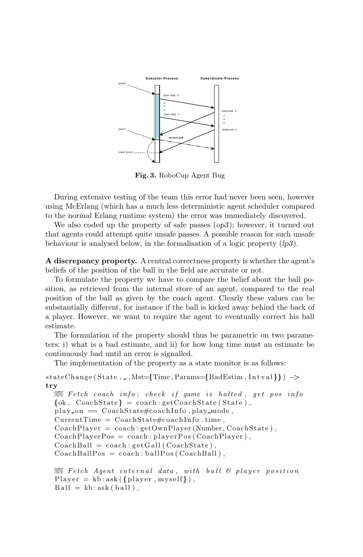

**Fig. 3.** RoboCup Agent Bug

During extensive testing of the team this error had never been seen, however using McErlang (which has a much less deterministic agent scheduler compared to the normal Erlang runtime system) the error was immediately discovered.

We also coded up the property of safe passes (*op3*); however, it turned out that agents could attempt quite unsafe passes. A possible reason for such unsafe behaviour is analysed below, in the formalisation of a logic property (*lp3*).

**A discrepancy property.** A central correctness property is whether the agent's beliefs of the position of the ball in the field are accurate or not.

To formulate the property we have to compare the belief about the ball position, as retrieved from the internal store of an agent, compared to the real position of the ball as given by the coach agent. Clearly these values can be substantially different, for instance if the ball is kicked away behind the back of a player. However, we want to require the agent to eventually correct his ball estimate.

The formulation of the property should thus be parametric on two parameters: i) what is a bad estimate, and ii) for how long time must an estimate be continuously bad until an error is signalled.

The implementation of the property as a state monitor is as follows:

```
stateChange( State , , Mst={Time , Params={BadEstim , In tv al }}) −>
try
  \% Fetch coach info; check if game is halted, get pos info
  \{\n    \begin{array}{l}\n    \text{ok, CoachState}\n    \end{array}\n    = \n    \text{coach: getCoachState(State)},play on = CoastB state \# coachInfo.png . play mode,
  CurrentTime = CoachState\#coachInfo.time,
  CoachPlayer = coach: getOwnPlayer(Number, CoachState),CoachPlayerPos = coach : playerPos (CoachPlayer),
  CoachBall = coach : getGall (CoachState),
  CoachBallPos = coach : ballPos (CoachBall),
```

```
\% Fetch Agent internal data, with ball \% player position
Player = kb : ask (fplayer, myself),
Ball = kb : ask (ball),
```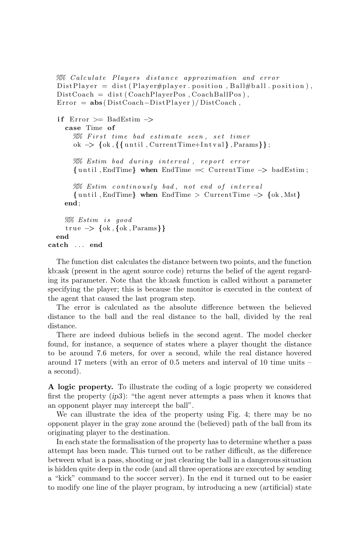```
%% Calculate Players distance approximation and error
  DistPlayer = dist(Player#player, position, Ball#ball, position),DistCoach = dist (CoachPlayerPos, CoachBallPos),
  Error = abs (DistCoach−DistPlayer )/DistCoach ,
  if Error >= BadEstim −>case Time o f
      %% First time bad estimate seen, set timer
      ok −> {ok , {{ u n til , CurrentTime+I n t v al} ,Params}} ;
      \% Estim bad during interval, report error
      { u n til , EndTime} when EndTime =< CurrentTime −> badEstim ;
      %% Estim continously bad, not end of interval
      { u n til , EndTime} when EndTime > CurrentTime −> {ok , Mst}
    end;
    %% Estim is good
    true −> {ok , {ok , Params}}
 end
catch ... end
```
The function dist calculates the distance between two points, and the function kb:ask (present in the agent source code) returns the belief of the agent regarding its parameter. Note that the kb:ask function is called without a parameter specifying the player; this is because the monitor is executed in the context of the agent that caused the last program step.

The error is calculated as the absolute difference between the believed distance to the ball and the real distance to the ball, divided by the real distance.

There are indeed dubious beliefs in the second agent. The model checker found, for instance, a sequence of states where a player thought the distance to be around 7.6 meters, for over a second, while the real distance hovered around 17 meters (with an error of 0.5 meters and interval of 10 time units – a second).

**A logic property.** To illustrate the coding of a logic property we considered first the property (*ip3*): "the agent never attempts a pass when it knows that an opponent player may intercept the ball".

We can illustrate the idea of the property using Fig. 4; there may be no opponent player in the gray zone around the (believed) path of the ball from its originating player to the destination.

In each state the formalisation of the property has to determine whether a pass attempt has been made. This turned out to be rather difficult, as the difference between what is a pass, shooting or just clearing the ball in a dangerous situation is hidden quite deep in the code (and all three operations are executed by sending a "kick" command to the soccer server). In the end it turned out to be easier to modify one line of the player program, by introducing a new (artificial) state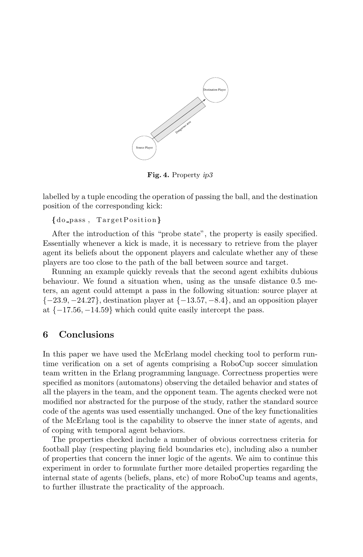

**Fig. 4.** Property *ip3*

labelled by a tuple encoding the operation of passing the ball, and the destination position of the corresponding kick:

*{*d o pass , TargetPosition*}*

After the introduction of this "probe state", the property is easily specified. Essentially whenever a kick is made, it is necessary to retrieve from the player agent its beliefs about the opponent players and calculate whether any of these players are too close to the path of the ball between source and target.

Running an example quickly reveals that the second agent exhibits dubious behaviour. We found a situation when, using as the unsafe distance 0.5 meters, an agent could attempt a pass in the following situation: source player at  $\{-23.9, -24.27\}$ , destination player at  $\{-13.57, -8.4\}$ , and an opposition player at  $\{-17.56, -14.59\}$  which could quite easily intercept the pass.

### **6 Conclusions**

In this paper we have used the McErlang model checking tool to perform runtime verification on a set of agents comprising a RoboCup soccer simulation team written in the Erlang programming language. Correctness properties were specified as monitors (automatons) observing the detailed behavior and states of all the players in the team, and the opponent team. The agents checked were not modified nor abstracted for the purpose of the study, rather the standard source code of the agents was used essentially unchanged. One of the key functionalities of the McErlang tool is the capability to observe the inner state of agents, and of coping with temporal agent behaviors.

The properties checked include a number of obvious correctness criteria for football play (respecting playing field boundaries etc), including also a number of properties that concern the inner logic of the agents. We aim to continue this experiment in order to formulate further more detailed properties regarding the internal state of agents (beliefs, plans, etc) of more RoboCup teams and agents, to further illustrate the practicality of the approach.